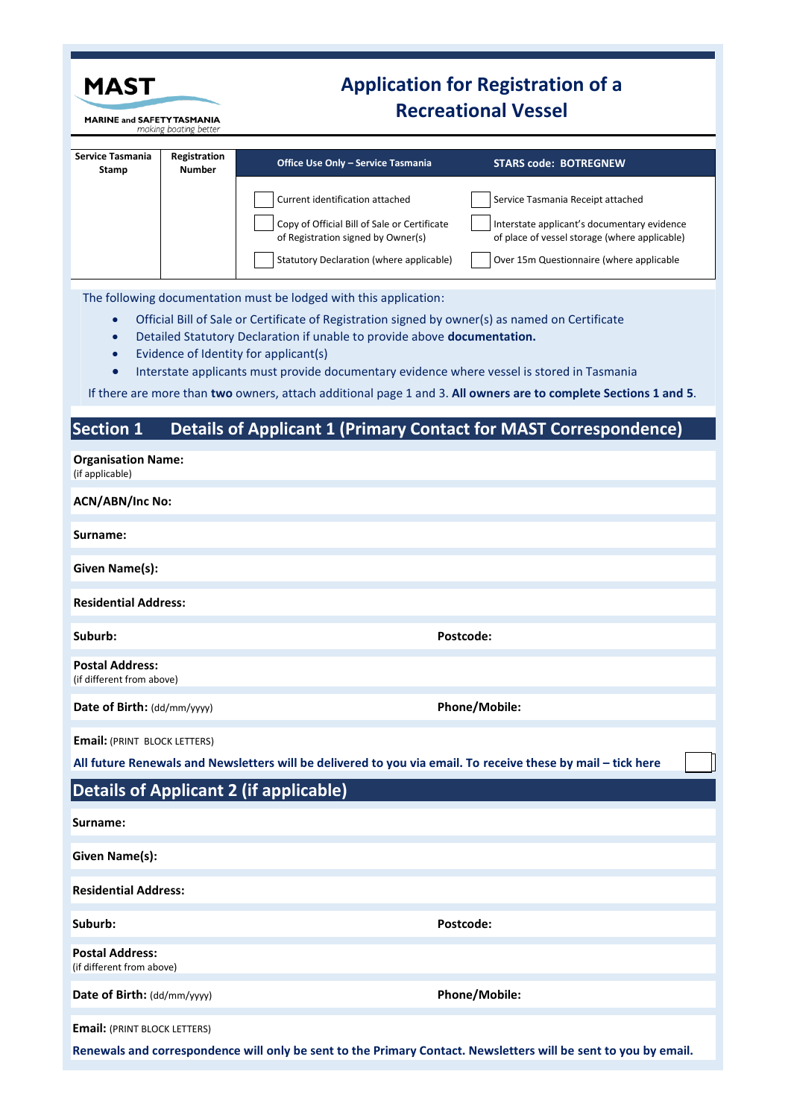| MAST<br><b>MARINE and SAFETY TASMANIA</b><br>making boating better |                               | <b>Application for Registration of a</b>                                                                                                                                    |                                                                                                                 |  |  |  |
|--------------------------------------------------------------------|-------------------------------|-----------------------------------------------------------------------------------------------------------------------------------------------------------------------------|-----------------------------------------------------------------------------------------------------------------|--|--|--|
|                                                                    |                               | <b>Recreational Vessel</b>                                                                                                                                                  |                                                                                                                 |  |  |  |
| Service Tasmania<br>Stamp                                          | Registration<br><b>Number</b> | Office Use Only - Service Tasmania                                                                                                                                          | <b>STARS code: BOTREGNEW</b>                                                                                    |  |  |  |
|                                                                    |                               | Current identification attached                                                                                                                                             | Service Tasmania Receipt attached                                                                               |  |  |  |
|                                                                    |                               | Copy of Official Bill of Sale or Certificate<br>of Registration signed by Owner(s)                                                                                          | Interstate applicant's documentary evidence<br>of place of vessel storage (where applicable)                    |  |  |  |
|                                                                    |                               | Statutory Declaration (where applicable)                                                                                                                                    | Over 15m Questionnaire (where applicable                                                                        |  |  |  |
|                                                                    |                               | The following documentation must be lodged with this application:                                                                                                           |                                                                                                                 |  |  |  |
| $\bullet$<br>$\bullet$                                             |                               | Official Bill of Sale or Certificate of Registration signed by owner(s) as named on Certificate<br>Detailed Statutory Declaration if unable to provide above documentation. |                                                                                                                 |  |  |  |
| $\bullet$                                                          |                               | Evidence of Identity for applicant(s)<br>Interstate applicants must provide documentary evidence where vessel is stored in Tasmania                                         |                                                                                                                 |  |  |  |
|                                                                    |                               |                                                                                                                                                                             | If there are more than two owners, attach additional page 1 and 3. All owners are to complete Sections 1 and 5. |  |  |  |
| Section 1                                                          |                               |                                                                                                                                                                             | <b>Details of Applicant 1 (Primary Contact for MAST Correspondence)</b>                                         |  |  |  |
| <b>Organisation Name:</b>                                          |                               |                                                                                                                                                                             |                                                                                                                 |  |  |  |
| (if applicable)<br><b>ACN/ABN/Inc No:</b>                          |                               |                                                                                                                                                                             |                                                                                                                 |  |  |  |
| Surname:                                                           |                               |                                                                                                                                                                             |                                                                                                                 |  |  |  |
| Given Name(s):                                                     |                               |                                                                                                                                                                             |                                                                                                                 |  |  |  |
| <b>Residential Address:</b>                                        |                               |                                                                                                                                                                             |                                                                                                                 |  |  |  |
| Suburb:                                                            |                               |                                                                                                                                                                             | Postcode:                                                                                                       |  |  |  |
| <b>Postal Address:</b><br>(if different from above)                |                               |                                                                                                                                                                             |                                                                                                                 |  |  |  |
| Date of Birth: (dd/mm/yyyy)                                        |                               |                                                                                                                                                                             | Phone/Mobile:                                                                                                   |  |  |  |
| <b>Email: (PRINT BLOCK LETTERS)</b>                                |                               |                                                                                                                                                                             |                                                                                                                 |  |  |  |
|                                                                    |                               | All future Renewals and Newsletters will be delivered to you via email. To receive these by mail - tick here                                                                |                                                                                                                 |  |  |  |
|                                                                    |                               | <b>Details of Applicant 2 (if applicable)</b>                                                                                                                               |                                                                                                                 |  |  |  |
| Surname:                                                           |                               |                                                                                                                                                                             |                                                                                                                 |  |  |  |
| <b>Given Name(s):</b>                                              |                               |                                                                                                                                                                             |                                                                                                                 |  |  |  |
| <b>Residential Address:</b>                                        |                               |                                                                                                                                                                             |                                                                                                                 |  |  |  |
| Suburb:                                                            |                               |                                                                                                                                                                             | Postcode:                                                                                                       |  |  |  |
| <b>Postal Address:</b><br>(if different from above)                |                               |                                                                                                                                                                             |                                                                                                                 |  |  |  |
| Date of Birth: (dd/mm/yyyy)                                        |                               |                                                                                                                                                                             | <b>Phone/Mobile:</b>                                                                                            |  |  |  |
| <b>Email: (PRINT BLOCK LETTERS)</b>                                |                               |                                                                                                                                                                             |                                                                                                                 |  |  |  |

**Renewals and correspondence will only be sent to the Primary Contact. Newsletters will be sent to you by email.**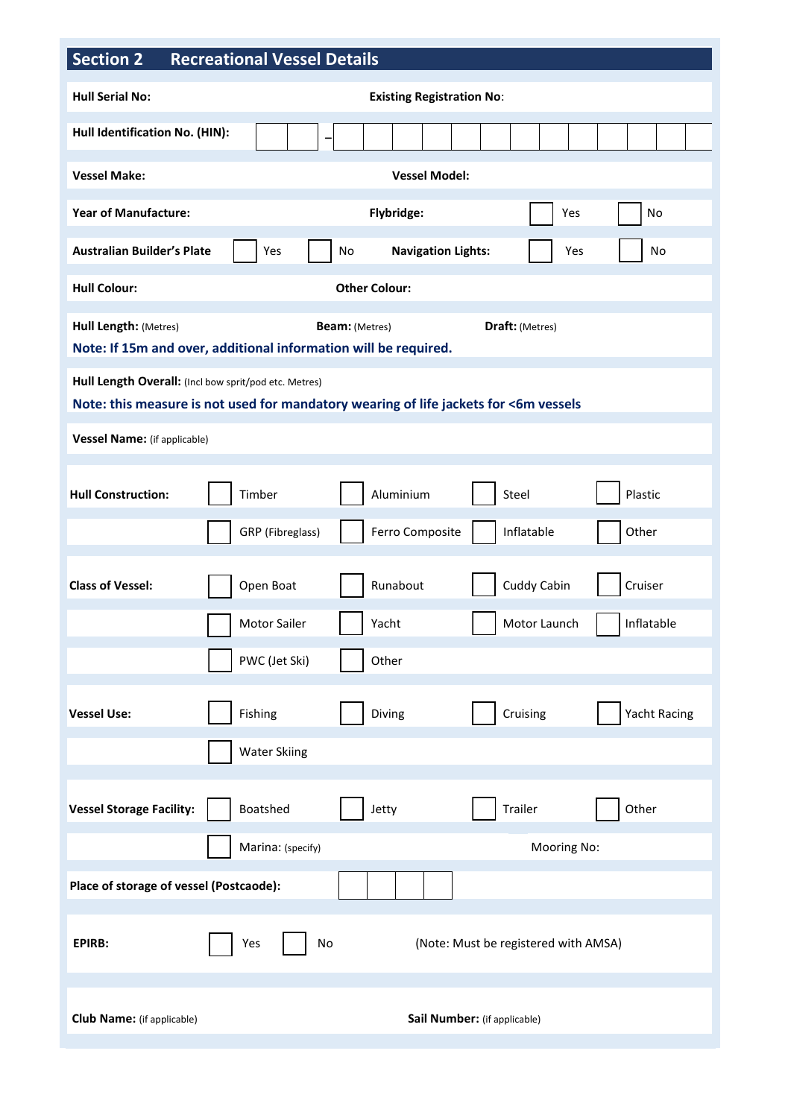## **Section 2 Recreational Vessel Details**

| $\sim$ Section Z                                                                                                                              | Recreational vessel Details                                |  |  |  |  |  |  |
|-----------------------------------------------------------------------------------------------------------------------------------------------|------------------------------------------------------------|--|--|--|--|--|--|
| <b>Hull Serial No:</b>                                                                                                                        | <b>Existing Registration No:</b>                           |  |  |  |  |  |  |
| Hull Identification No. (HIN):                                                                                                                |                                                            |  |  |  |  |  |  |
| <b>Vessel Make:</b><br><b>Vessel Model:</b>                                                                                                   |                                                            |  |  |  |  |  |  |
| <b>Year of Manufacture:</b><br>Flybridge:<br>Yes<br>No                                                                                        |                                                            |  |  |  |  |  |  |
| <b>Australian Builder's Plate</b>                                                                                                             | <b>Navigation Lights:</b><br>Yes<br>No<br>Yes<br>No        |  |  |  |  |  |  |
| <b>Hull Colour:</b>                                                                                                                           | <b>Other Colour:</b>                                       |  |  |  |  |  |  |
| Hull Length: (Metres)<br>Draft: (Metres)<br><b>Beam:</b> (Metres)<br>Note: If 15m and over, additional information will be required.          |                                                            |  |  |  |  |  |  |
| Hull Length Overall: (Incl bow sprit/pod etc. Metres)<br>Note: this measure is not used for mandatory wearing of life jackets for <6m vessels |                                                            |  |  |  |  |  |  |
| Vessel Name: (if applicable)                                                                                                                  |                                                            |  |  |  |  |  |  |
| <b>Hull Construction:</b>                                                                                                                     | Aluminium<br>Timber<br>Steel<br>Plastic                    |  |  |  |  |  |  |
|                                                                                                                                               | Inflatable<br>GRP (Fibreglass)<br>Ferro Composite<br>Other |  |  |  |  |  |  |
| <b>Class of Vessel:</b>                                                                                                                       | Cuddy Cabin<br>Runabout<br>Open Boat<br>Cruiser            |  |  |  |  |  |  |
|                                                                                                                                               | <b>Motor Sailer</b><br>Motor Launch<br>Inflatable<br>Yacht |  |  |  |  |  |  |
|                                                                                                                                               | PWC (Jet Ski)<br>Other                                     |  |  |  |  |  |  |
| <b>Vessel Use:</b>                                                                                                                            | Cruising<br><b>Yacht Racing</b><br>Fishing<br>Diving       |  |  |  |  |  |  |
|                                                                                                                                               | <b>Water Skiing</b>                                        |  |  |  |  |  |  |
| <b>Vessel Storage Facility:</b>                                                                                                               | Boatshed<br>Trailer<br>Other<br>Jetty                      |  |  |  |  |  |  |
|                                                                                                                                               | Marina: (specify)<br>Mooring No:                           |  |  |  |  |  |  |
| Place of storage of vessel (Postcaode):                                                                                                       |                                                            |  |  |  |  |  |  |
| <b>EPIRB:</b>                                                                                                                                 | Yes<br>No<br>(Note: Must be registered with AMSA)          |  |  |  |  |  |  |
| <b>Club Name:</b> (if applicable)                                                                                                             | Sail Number: (if applicable)                               |  |  |  |  |  |  |